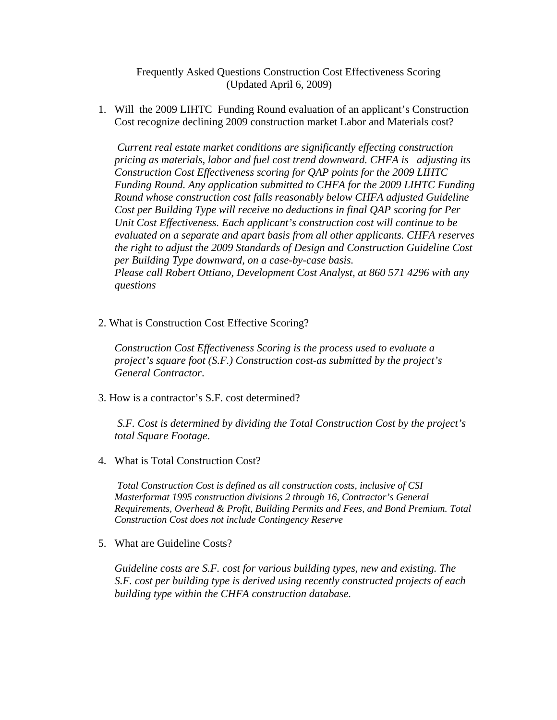Frequently Asked Questions Construction Cost Effectiveness Scoring (Updated April 6, 2009)

1. Will the 2009 LIHTC Funding Round evaluation of an applicant's Construction Cost recognize declining 2009 construction market Labor and Materials cost?

 *Current real estate market conditions are significantly effecting construction pricing as materials, labor and fuel cost trend downward. CHFA is adjusting its Construction Cost Effectiveness scoring for QAP points for the 2009 LIHTC Funding Round. Any application submitted to CHFA for the 2009 LIHTC Funding Round whose construction cost falls reasonably below CHFA adjusted Guideline Cost per Building Type will receive no deductions in final QAP scoring for Per Unit Cost Effectiveness. Each applicant's construction cost will continue to be evaluated on a separate and apart basis from all other applicants. CHFA reserves the right to adjust the 2009 Standards of Design and Construction Guideline Cost per Building Type downward, on a case-by-case basis. Please call Robert Ottiano, Development Cost Analyst, at 860 571 4296 with any questions* 

2. What is Construction Cost Effective Scoring?

*Construction Cost Effectiveness Scoring is the process used to evaluate a project's square foot (S.F.) Construction cost-as submitted by the project's General Contractor*.

3. How is a contractor's S.F. cost determined?

*S.F. Cost is determined by dividing the Total Construction Cost by the project's total Square Footage*.

4. What is Total Construction Cost?

 *Total Construction Cost is defined as all construction costs, inclusive of CSI Masterformat 1995 construction divisions 2 through 16, Contractor's General Requirements, Overhead & Profit, Building Permits and Fees, and Bond Premium. Total Construction Cost does not include Contingency Reserve* 

5. What are Guideline Costs?

*Guideline costs are S.F. cost for various building types, new and existing. The S.F. cost per building type is derived using recently constructed projects of each building type within the CHFA construction database.*